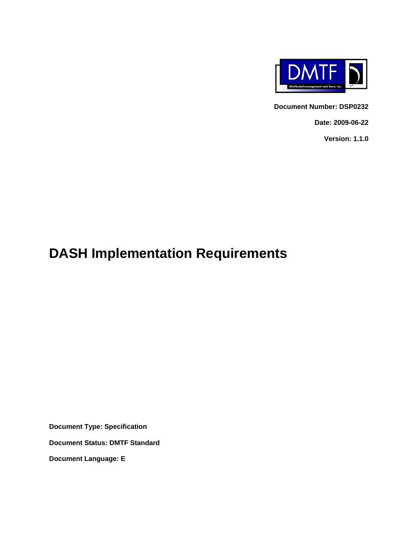

**Document Number: DSP0232** 

**Date: 2009-06-22** 

**Version: 1.1.0** 

## **DASH Implementation Requirements**

**Document Type: Specification** 

**Document Status: DMTF Standard** 

**Document Language: E**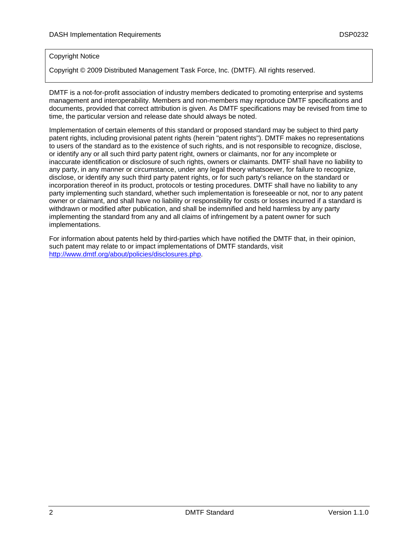#### Copyright Notice

Copyright © 2009 Distributed Management Task Force, Inc. (DMTF). All rights reserved.

DMTF is a not-for-profit association of industry members dedicated to promoting enterprise and systems management and interoperability. Members and non-members may reproduce DMTF specifications and documents, provided that correct attribution is given. As DMTF specifications may be revised from time to time, the particular version and release date should always be noted.

Implementation of certain elements of this standard or proposed standard may be subject to third party patent rights, including provisional patent rights (herein "patent rights"). DMTF makes no representations to users of the standard as to the existence of such rights, and is not responsible to recognize, disclose, or identify any or all such third party patent right, owners or claimants, nor for any incomplete or inaccurate identification or disclosure of such rights, owners or claimants. DMTF shall have no liability to any party, in any manner or circumstance, under any legal theory whatsoever, for failure to recognize, disclose, or identify any such third party patent rights, or for such party's reliance on the standard or incorporation thereof in its product, protocols or testing procedures. DMTF shall have no liability to any party implementing such standard, whether such implementation is foreseeable or not, nor to any patent owner or claimant, and shall have no liability or responsibility for costs or losses incurred if a standard is withdrawn or modified after publication, and shall be indemnified and held harmless by any party implementing the standard from any and all claims of infringement by a patent owner for such implementations.

For information about patents held by third-parties which have notified the DMTF that, in their opinion, such patent may relate to or impact implementations of DMTF standards, visit <http://www.dmtf.org/about/policies/disclosures.php>.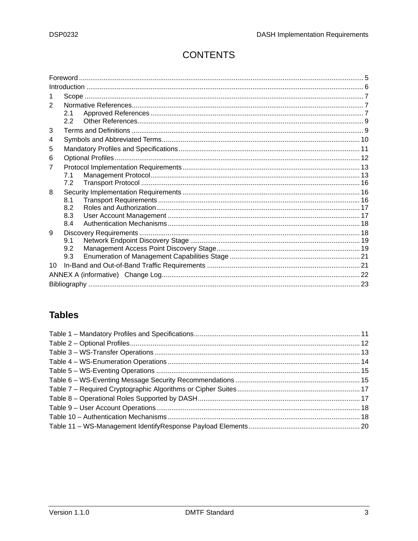## **CONTENTS**

| 2               |     |  |
|-----------------|-----|--|
|                 | 2.1 |  |
|                 | 2.2 |  |
| 3               |     |  |
| 4               |     |  |
| 5               |     |  |
| 6               |     |  |
| 7               |     |  |
|                 | 7.1 |  |
|                 | 7.2 |  |
| 8               |     |  |
|                 | 8.1 |  |
|                 | 8.2 |  |
|                 | 8.3 |  |
|                 | 8.4 |  |
| 9               | 9.1 |  |
|                 | 9.2 |  |
|                 | 9.3 |  |
| 10 <sup>1</sup> |     |  |
|                 |     |  |
|                 |     |  |
|                 |     |  |

## **Tables**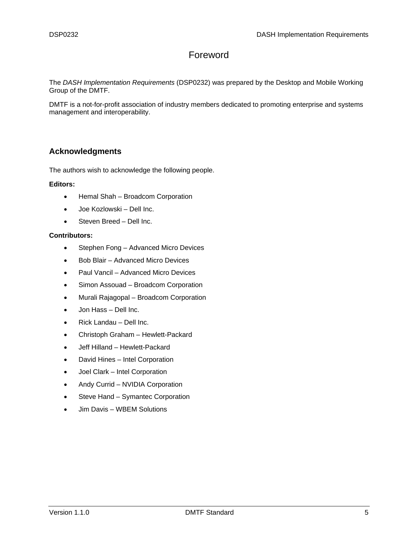#### Foreword

<span id="page-4-0"></span>The *DASH Implementation Requirements* (DSP0232) was prepared by the Desktop and Mobile Working Group of the DMTF.

DMTF is a not-for-profit association of industry members dedicated to promoting enterprise and systems management and interoperability.

#### **Acknowledgments**

The authors wish to acknowledge the following people.

#### **Editors:**

- Hemal Shah Broadcom Corporation
- Joe Kozlowski Dell Inc.
- Steven Breed Dell Inc.

#### **Contributors:**

- Stephen Fong Advanced Micro Devices
- Bob Blair Advanced Micro Devices
- Paul Vancil Advanced Micro Devices
- Simon Assouad Broadcom Corporation
- Murali Rajagopal Broadcom Corporation
- Jon Hass Dell Inc.
- Rick Landau Dell Inc.
- Christoph Graham Hewlett-Packard
- Jeff Hilland Hewlett-Packard
- David Hines Intel Corporation
- Joel Clark Intel Corporation
- Andy Currid NVIDIA Corporation
- Steve Hand Symantec Corporation
- Jim Davis WBEM Solutions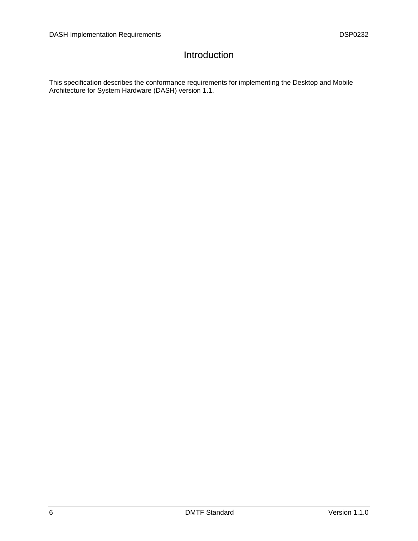### Introduction

<span id="page-5-0"></span>This specification describes the conformance requirements for implementing the Desktop and Mobile Architecture for System Hardware (DASH) version 1.1.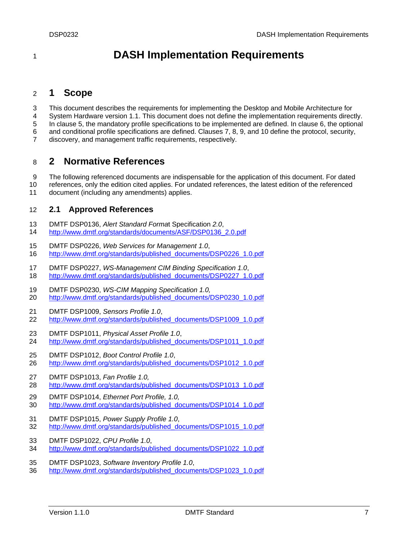## <sup>1</sup>**DASH Implementation Requirements**

#### <span id="page-6-0"></span>2 **1 Scope**

3 This document describes the requirements for implementing the Desktop and Mobile Architecture for

4 System Hardware version 1.1. This document does not define the implementation requirements directly.

5 In clause [5](#page-10-0), the mandatory profile specifications to be implemented are defined. In clause [6](#page-11-0), the optional

6 and conditional profile specifications are defined. Clauses [7,](#page-12-0) [8](#page-15-1), [9](#page-17-1), and [10](#page-20-1) define the protocol, security,

7 discovery, and management traffic requirements, respectively.

#### <span id="page-6-1"></span>8 **2 Normative References**

9 The following referenced documents are indispensable for the application of this document. For dated

10 references, only the edition cited applies. For undated references, the latest edition of the referenced

11 document (including any amendments) applies.

#### <span id="page-6-2"></span>12 **2.1 Approved References**

- <span id="page-6-14"></span>13 DMTF DSP0136, *Alert Standard Forma*t Specification *2.0*,
- 14 [http://www.dmtf.org/standards/documents/ASF/DSP0136\\_2.0.pdf](http://www.dmtf.org/standards/documents/ASF/DSP0136_2.0.pdf)
- <span id="page-6-3"></span>15 DMTF DSP0226, *Web Services for Management 1.0*,
- 16 [http://www.dmtf.org/standards/published\\_documents/DSP0226\\_1.0.pdf](http://www.dmtf.org/standards/published_documents/DSP0226_1.0.pdf)
- <span id="page-6-4"></span>17 DMTF DSP0227, *WS-Management CIM Binding Specification 1.0*,
- 18 [http://www.dmtf.org/standards/published\\_documents/DSP0227\\_1.0.pdf](http://www.dmtf.org/standards/published_documents/DSP0227_1.0.pdf)
- <span id="page-6-5"></span>19 DMTF DSP0230, *WS-CIM Mapping Specification 1.0,*
- 20 [http://www.dmtf.org/standards/published\\_documents/DSP0230\\_1.0.pdf](http://www.dmtf.org/standards/published_documents/DSP0230_1.0.pdf)
- <span id="page-6-12"></span>21 DMTF DSP1009, *Sensors Profile 1.0*,
- 22 [http://www.dmtf.org/standards/published\\_documents/DSP1009\\_1.0.pdf](http://www.dmtf.org/standards/published_documents/DSP1009_1.0.pdf)
- <span id="page-6-10"></span>23 DMTF DSP1011, *Physical Asset Profile 1.0*,
- 24 [http://www.dmtf.org/standards/published\\_documents/DSP1011\\_1.0.pdf](http://www.dmtf.org/standards/published_documents/DSP1011_1.0.pdf)
- <span id="page-6-6"></span>25 DMTF DSP1012, *Boot Control Profile 1.0*,
- 26 [http://www.dmtf.org/standards/published\\_documents/DSP1012\\_1.0.pdf](http://www.dmtf.org/standards/published_documents/DSP1012_1.0.pdf)
- <span id="page-6-9"></span>27 DMTF DSP1013, *Fan Profile 1.0,* 28 [http://www.dmtf.org/standards/published\\_documents/DSP1013\\_1.0.pdf](http://www.dmtf.org/standards/published_documents/DSP1013_1.0.pdf)
- <span id="page-6-8"></span>29 DMTF DSP1014, *Ethernet Port Profile, 1.0,*  30 [http://www.dmtf.org/standards/published\\_documents/DSP1014\\_1.0.pdf](http://www.dmtf.org/standards/published_documents/DSP1014_1.0.pdf)
- <span id="page-6-11"></span>31 DMTF DSP1015, *Power Supply Profile 1.0*,
- 32 [http://www.dmtf.org/standards/published\\_documents/DSP1015\\_1.0.pdf](http://www.dmtf.org/standards/published_documents/DSP1015_1.0.pdf)
- <span id="page-6-7"></span>33 DMTF DSP1022, *CPU Profile 1.0*,
- 34 [http://www.dmtf.org/standards/published\\_documents/DSP1022\\_1.0.pdf](http://www.dmtf.org/standards/published_documents/DSP1022_1.0.pdf)
- <span id="page-6-13"></span>35 DMTF DSP1023, *Software Inventory Profile 1.0*,
- 36 [http://www.dmtf.org/standards/published\\_documents/DSP1023\\_1.0.pdf](http://www.dmtf.org/standards/published_documents/DSP1023_1.0.pdf)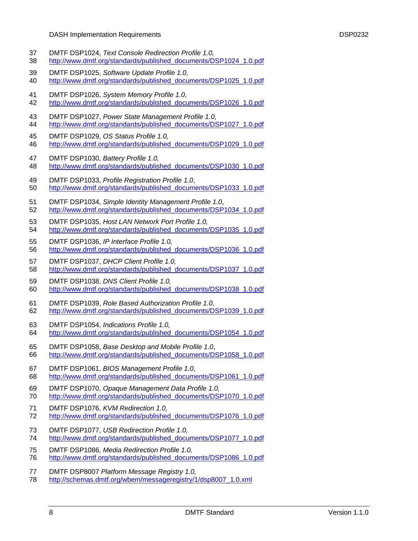- <span id="page-7-19"></span><span id="page-7-18"></span><span id="page-7-17"></span><span id="page-7-16"></span><span id="page-7-15"></span><span id="page-7-8"></span><span id="page-7-4"></span><span id="page-7-3"></span><span id="page-7-1"></span>DASH Implementation Requirements DSP0232 37 DMTF DSP1024, *Text Console Redirection Profile 1.0,*  38 [http://www.dmtf.org/standards/published\\_documents/DSP1024\\_1.0.pdf](http://www.dmtf.org/standards/published_documents/DSP1013_1.0.pdf) 39 DMTF DSP1025, *Software Update Profile 1.0,*  40 [http://www.dmtf.org/standards/published\\_documents/DSP1025\\_1.0.pdf](http://www.dmtf.org/standards/published_documents/DSP1025_1.0.pdf) 41 DMTF DSP1026, *System Memory Profile 1.0*, 42 [http://www.dmtf.org/standards/published\\_documents/DSP1026\\_1.0.pdf](http://www.dmtf.org/standards/published_documents/DSP1026_1.0.pdf) 43 DMTF DSP1027, *Power State Management Profile 1.0*, 44 [http://www.dmtf.org/standards/published\\_documents/DSP1027\\_1.0.pdf](http://www.dmtf.org/standards/published_documents/DSP1027_1.0.pdf) 45 DMTF DSP1029, *OS Status Profile 1.0,*  46 http://www.dmtf.org/standards/published documents/DSP1029 1.0.pdf 47 DMTF DSP1030, *Battery Profile 1.0,*  48 [http://www.dmtf.org/standards/published\\_documents/DSP1030\\_1.0.pdf](http://www.dmtf.org/standards/published_documents/DSP1030_1.0.pdf) 49 DMTF DSP1033, *Profile Registration Profile 1.0*, 50 [http://www.dmtf.org/standards/published\\_documents/DSP1033\\_1.0.pdf](http://www.dmtf.org/standards/published_documents/DSP1033_1.0.pdf) 51 DMTF DSP1034, *Simple Identity Management Profile 1.0*, 52 [http://www.dmtf.org/standards/published\\_documents/DSP1034\\_1.0.pdf](http://www.dmtf.org/standards/published_documents/DSP1034_1.0.pdf) 53 DMTF DSP1035, *Host LAN Network Port Profile 1.0,*  54 [http://www.dmtf.org/standards/published\\_documents/DSP1035\\_1.0.pdf](http://www.dmtf.org/standards/published_documents/DSP1035_1.0.pdf) 55 DMTF DSP1036, *IP Interface Profile 1.0,*  56 [http://www.dmtf.org/standards/published\\_documents/DSP1036\\_1.0.pdf](http://www.dmtf.org/standards/published_documents/DSP1036_1.0.pdf) 57 DMTF DSP1037, *DHCP Client Profile 1.0,*  58 [http://www.dmtf.org/standards/published\\_documents/DSP1037\\_1.0.pdf](http://www.dmtf.org/standards/published_documents/DSP1037_1.0.pdf) 59 DMTF DSP1038, *DNS Client Profile 1.0,*  60 [http://www.dmtf.org/standards/published\\_documents/DSP1038\\_1.0.pdf](http://www.dmtf.org/standards/published_documents/DSP1038_1.0.pdf) 61 DMTF DSP1039, *Role Based Authorization Profile 1.0*, 62 [http://www.dmtf.org/standards/published\\_documents/DSP1039\\_1.0.pdf](http://www.dmtf.org/standards/published_documents/DSP1039_1.0.pdf) 63 DMTF DSP1054, *Indications Profile 1.0,*  64 [http://www.dmtf.org/standards/published\\_documents/DSP1054\\_1.0.pdf](http://www.dmtf.org/standards/published_documents/DSP1054_1.0.pdf) 65 DMTF DSP1058, *Base Desktop and Mobile Profile 1.0*, 66 [http://www.dmtf.org/standards/published\\_documents/DSP1058\\_1.0.pdf](http://www.dmtf.org/standards/published_documents/DSP1058_1.0.pdf) 67 DMTF DSP1061, *BIOS Management Profile 1.0,*  68 [http://www.dmtf.org/standards/published\\_documents/DSP1061\\_1.0.pdf](http://www.dmtf.org/standards/published_documents/DSP1061_1.0.pdf) 69 DMTF DSP1070, *Opaque Management Data Profile 1.0,*  70 [http://www.dmtf.org/standards/published\\_documents/DSP1070\\_1.0.pdf](http://www.dmtf.org/standards/published_documents/DSP1070_1.0.pdf) 71 DMTF DSP1076, *KVM Redirection 1.0,*  72 [http://www.dmtf.org/standards/published\\_documents/DSP1076\\_1.0.pdf](http://www.dmtf.org/standards/published_documents/DSP1076_1.0.pdf) 73 DMTF DSP1077, *USB Redirection Profile 1.0,*
- <span id="page-7-20"></span><span id="page-7-14"></span><span id="page-7-12"></span><span id="page-7-11"></span><span id="page-7-9"></span><span id="page-7-7"></span><span id="page-7-6"></span><span id="page-7-5"></span><span id="page-7-2"></span><span id="page-7-0"></span>74 [http://www.dmtf.org/standards/published\\_documents/DSP1077\\_1.0.pdf](http://www.dmtf.org/standards/published_documents/DSP1077_1.0.pdf)
- <span id="page-7-13"></span>75 DMTF DSP1086, *Media Redirection Profile 1.0,*
- 76 [http://www.dmtf.org/standards/published\\_documents/DSP1086\\_1.0.pdf](http://www.dmtf.org/standards/published_documents/DSP1086_1.0.pdf)
- <span id="page-7-10"></span>77 DMTF DSP8007 *Platform Message Registry 1.0,*
- 78 [http://schemas.dmtf.org/wbem/messageregistry/1/dsp8007\\_1.0.xml](http://schemas.dmtf.org/wbem/messageregistry/1/dsp8007_1.0.xml)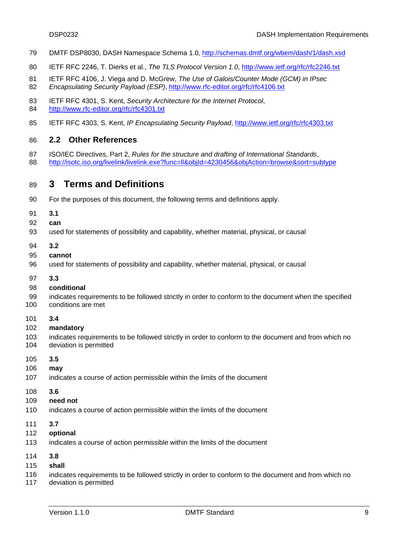- 79 DMTF DSP8030, DASH Namespace Schema 1.0*,* <http://schemas.dmtf.org/wbem/dash/1/dash.xsd>
- <span id="page-8-2"></span>80 IETF RFC 2246, T. Dierks et al., *The TLS Protocol Version 1.0*,<http://www.ietf.org/rfc/rfc2246.txt>
- <span id="page-8-5"></span>81 IETF RFC 4106, J. Viega and D. McGrew, *The Use of Galois/Counter Mode (GCM) in IPsec*  82 *Encapsulating Security Payload (ESP)*, <http://www.rfc-editor.org/rfc/rfc4106.txt>
- <span id="page-8-3"></span>83 IETF RFC 4301, S. Kent, *Security Architecture for the Internet Protocol*,
- 84 <http://www.rfc-editor.org/rfc/rfc4301.txt>
- <span id="page-8-4"></span>85 IETF RFC 4303, S. Kent, *IP Encapsulating Security Payload*,<http://www.ietf.org/rfc/rfc4303.txt>

#### <span id="page-8-0"></span>86 **2.2 Other References**

- 87 ISO/IEC Directives, Part 2, *Rules for the structure and drafting of International Standards*,
- 88 <http://isotc.iso.org/livelink/livelink.exe?func=ll&objId=4230456&objAction=browse&sort=subtype>

#### <span id="page-8-1"></span>89 **3 Terms and Definitions**

- 90 For the purposes of this document, the following terms and definitions apply.
- 91 **3.1**
- 92 **can**
- 93 used for statements of possibility and capability, whether material, physical, or causal
- 94 **3.2**
- 95 **cannot**
- 96 used for statements of possibility and capability, whether material, physical, or causal
- 97 **3.3**

#### 98 **conditional**

- 99 100 indicates requirements to be followed strictly in order to conform to the document when the specified conditions are met
- 101 **3.4**
- 102 **mandatory**
- 103 104 indicates requirements to be followed strictly in order to conform to the document and from which no deviation is permitted
- 105 **3.5**
- 106 **may**
- 107 indicates a course of action permissible within the limits of the document
- 108 **3.6**
- 109 **need not**
- 110 indicates a course of action permissible within the limits of the document
- 111 **3.7**
- 112 **optional**
- 113 indicates a course of action permissible within the limits of the document
- 114 **3.8**
- 115 **shall**
- 116 indicates requirements to be followed strictly in order to conform to the document and from which no
- 117 deviation is permitted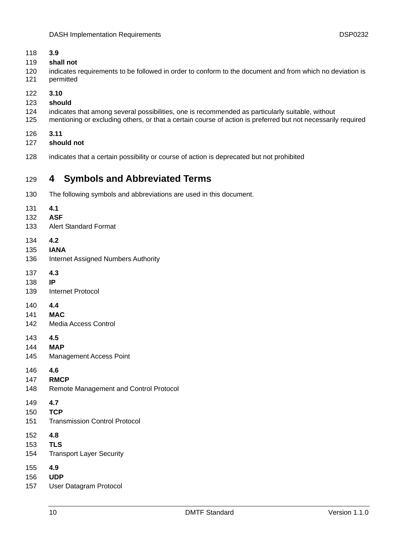- **3.9**
- **shall not**
- indicates requirements to be followed in order to conform to the document and from which no deviation is permitted
- **3.10**
- **should**
- indicates that among several possibilities, one is recommended as particularly suitable, without
- mentioning or excluding others, or that a certain course of action is preferred but not necessarily required
- **3.11**
- **should not**
- indicates that a certain possibility or course of action is deprecated but not prohibited

#### <span id="page-9-0"></span>**4 Symbols and Abbreviated Terms**

- The following symbols and abbreviations are used in this document.
- **4.1**
- **ASF**
- Alert Standard Format
- **4.2**
- **IANA**
- Internet Assigned Numbers Authority
- **4.3**
- **IP**
- Internet Protocol
- **4.4**
- **MAC**
- Media Access Control
- **4.5**
- **MAP**
- Management Access Point
- **4.6**
- **RMCP**
- Remote Management and Control Protocol
- **4.7**
- **TCP**
- Transmission Control Protocol
- **4.8**
- **TLS**
- Transport Layer Security
- **4.9**
- **UDP**
- User Datagram Protocol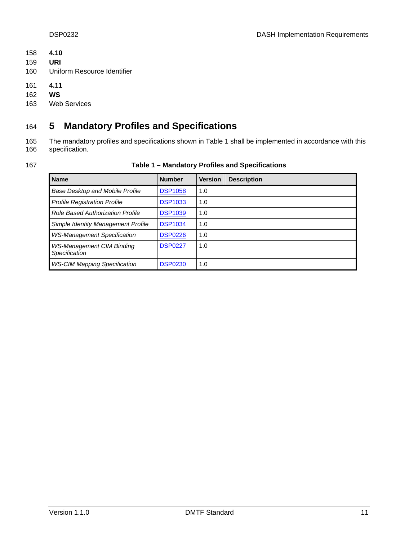- 158 **4.10**
- 159 **URI**
- 160 Uniform Resource Identifier
- 161 **4.11**
- 162 **WS**
- 163 Web Services

## <span id="page-10-0"></span>164 **5 Mandatory Profiles and Specifications**

- 165 166 The mandatory profiles and specifications shown in [Table 1](#page-10-1) shall be implemented in accordance with this specification.
- <span id="page-10-1"></span>167

**Table 1 – Mandatory Profiles and Specifications** 

| <b>Name</b>                                       | <b>Number</b>  | <b>Version</b> | <b>Description</b> |
|---------------------------------------------------|----------------|----------------|--------------------|
| <b>Base Desktop and Mobile Profile</b>            | <b>DSP1058</b> | 1.0            |                    |
| <b>Profile Registration Profile</b>               | <b>DSP1033</b> | 1.0            |                    |
| <b>Role Based Authorization Profile</b>           | <b>DSP1039</b> | 1.0            |                    |
| Simple Identity Management Profile                | <b>DSP1034</b> | 1.0            |                    |
| <b>WS-Management Specification</b>                | <b>DSP0226</b> | 1.0            |                    |
| <b>WS-Management CIM Binding</b><br>Specification | <b>DSP0227</b> | 1.0            |                    |
| <b>WS-CIM Mapping Specification</b>               | <b>DSP0230</b> | 1.0            |                    |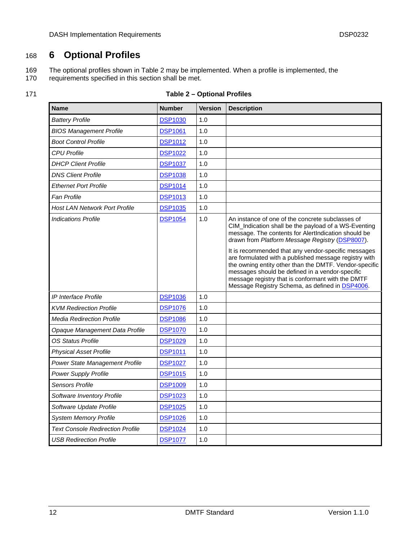## <span id="page-11-0"></span>168 **6 Optional Profiles**

The optional profiles shown in [Table 2](#page-11-1) may be implemented. When a profile is implemented, the 169

requirements specified in this section shall be met. 170

<span id="page-11-1"></span>

| Table 2 - Optional Profiles |
|-----------------------------|
|                             |

| <b>Name</b>                             | <b>Number</b>  | <b>Version</b> | <b>Description</b>                                                                                                                                                                                                                                                                                                                                                                                                                                                                                                                                      |
|-----------------------------------------|----------------|----------------|---------------------------------------------------------------------------------------------------------------------------------------------------------------------------------------------------------------------------------------------------------------------------------------------------------------------------------------------------------------------------------------------------------------------------------------------------------------------------------------------------------------------------------------------------------|
| <b>Battery Profile</b>                  | <b>DSP1030</b> | 1.0            |                                                                                                                                                                                                                                                                                                                                                                                                                                                                                                                                                         |
| <b>BIOS Management Profile</b>          | <b>DSP1061</b> | 1.0            |                                                                                                                                                                                                                                                                                                                                                                                                                                                                                                                                                         |
| <b>Boot Control Profile</b>             | <b>DSP1012</b> | 1.0            |                                                                                                                                                                                                                                                                                                                                                                                                                                                                                                                                                         |
| <b>CPU Profile</b>                      | <b>DSP1022</b> | 1.0            |                                                                                                                                                                                                                                                                                                                                                                                                                                                                                                                                                         |
| <b>DHCP Client Profile</b>              | <b>DSP1037</b> | 1.0            |                                                                                                                                                                                                                                                                                                                                                                                                                                                                                                                                                         |
| <b>DNS Client Profile</b>               | <b>DSP1038</b> | 1.0            |                                                                                                                                                                                                                                                                                                                                                                                                                                                                                                                                                         |
| <b>Ethernet Port Profile</b>            | <b>DSP1014</b> | 1.0            |                                                                                                                                                                                                                                                                                                                                                                                                                                                                                                                                                         |
| <b>Fan Profile</b>                      | <b>DSP1013</b> | 1.0            |                                                                                                                                                                                                                                                                                                                                                                                                                                                                                                                                                         |
| <b>Host LAN Network Port Profile</b>    | <b>DSP1035</b> | 1.0            |                                                                                                                                                                                                                                                                                                                                                                                                                                                                                                                                                         |
| <b>Indications Profile</b>              | <b>DSP1054</b> | 1.0            | An instance of one of the concrete subclasses of<br>CIM_Indication shall be the payload of a WS-Eventing<br>message. The contents for AlertIndication should be<br>drawn from Platform Message Registry (DSP8007).<br>It is recommended that any vendor-specific messages<br>are formulated with a published message registry with<br>the owning entity other than the DMTF. Vendor-specific<br>messages should be defined in a vendor-specific<br>message registry that is conformant with the DMTF<br>Message Registry Schema, as defined in DSP4006. |
| IP Interface Profile                    | <b>DSP1036</b> | 1.0            |                                                                                                                                                                                                                                                                                                                                                                                                                                                                                                                                                         |
| <b>KVM Redirection Profile</b>          | <b>DSP1076</b> | 1.0            |                                                                                                                                                                                                                                                                                                                                                                                                                                                                                                                                                         |
| <b>Media Redirection Profile</b>        | <b>DSP1086</b> | 1.0            |                                                                                                                                                                                                                                                                                                                                                                                                                                                                                                                                                         |
| Opaque Management Data Profile          | <b>DSP1070</b> | 1.0            |                                                                                                                                                                                                                                                                                                                                                                                                                                                                                                                                                         |
| <b>OS Status Profile</b>                | <b>DSP1029</b> | 1.0            |                                                                                                                                                                                                                                                                                                                                                                                                                                                                                                                                                         |
| <b>Physical Asset Profile</b>           | <b>DSP1011</b> | 1.0            |                                                                                                                                                                                                                                                                                                                                                                                                                                                                                                                                                         |
| Power State Management Profile          | <b>DSP1027</b> | 1.0            |                                                                                                                                                                                                                                                                                                                                                                                                                                                                                                                                                         |
| Power Supply Profile                    | <b>DSP1015</b> | 1.0            |                                                                                                                                                                                                                                                                                                                                                                                                                                                                                                                                                         |
| <b>Sensors Profile</b>                  | <b>DSP1009</b> | 1.0            |                                                                                                                                                                                                                                                                                                                                                                                                                                                                                                                                                         |
| Software Inventory Profile              | <b>DSP1023</b> | 1.0            |                                                                                                                                                                                                                                                                                                                                                                                                                                                                                                                                                         |
| Software Update Profile                 | <b>DSP1025</b> | 1.0            |                                                                                                                                                                                                                                                                                                                                                                                                                                                                                                                                                         |
| <b>System Memory Profile</b>            | <b>DSP1026</b> | 1.0            |                                                                                                                                                                                                                                                                                                                                                                                                                                                                                                                                                         |
| <b>Text Console Redirection Profile</b> | <b>DSP1024</b> | 1.0            |                                                                                                                                                                                                                                                                                                                                                                                                                                                                                                                                                         |
| <b>USB Redirection Profile</b>          | <b>DSP1077</b> | 1.0            |                                                                                                                                                                                                                                                                                                                                                                                                                                                                                                                                                         |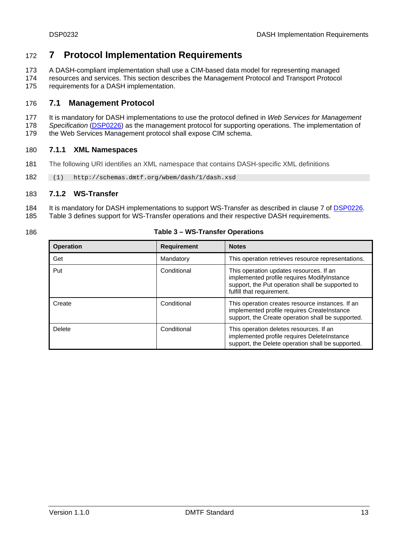#### <span id="page-12-0"></span>172 **7 Protocol Implementation Requirements**

- A DASH-compliant implementation shall use a CIM-based data model for representing managed 173
- resources and services. This section describes the Management Protocol and Transport Protocol requirements for a DASH implementation. 174 175

#### <span id="page-12-1"></span>176 **7.1 Management Protocol**

- 177 It is mandatory for DASH implementations to use the protocol defined in *Web Services for Management*
- *Specification* ([DSP0226\)](#page-6-3) as the management protocol for supporting operations. The implementation of 178
- the Web Services Management protocol shall expose CIM schema. 179

#### 180 **7.1.1 XML Namespaces**

- 181 The following URI identifies an XML namespace that contains DASH-specific XML definitions
- 182 (1) http://schemas.dmtf.org/wbem/dash/1/dash.xsd

#### 183 **7.1.2 WS-Transfer**

- 184 It is mandatory for DASH implementations to support WS-Transfer as described in clause 7 of [DSP0226.](#page-6-3) [Table 3](#page-12-2) defines support for WS-Transfer operations and their respective DASH requirements.
- 185
- <span id="page-12-2"></span>186

#### **Table 3 – WS-Transfer Operations**

| <b>Operation</b> | <b>Requirement</b> | <b>Notes</b>                                                                                                                                                            |
|------------------|--------------------|-------------------------------------------------------------------------------------------------------------------------------------------------------------------------|
| Get              | Mandatory          | This operation retrieves resource representations.                                                                                                                      |
| Put              | Conditional        | This operation updates resources. If an<br>implemented profile requires ModifyInstance<br>support, the Put operation shall be supported to<br>fulfill that requirement. |
| Create           | Conditional        | This operation creates resource instances. If an<br>implemented profile requires CreateInstance<br>support, the Create operation shall be supported.                    |
| Delete           | Conditional        | This operation deletes resources. If an<br>implemented profile requires DeleteInstance<br>support, the Delete operation shall be supported.                             |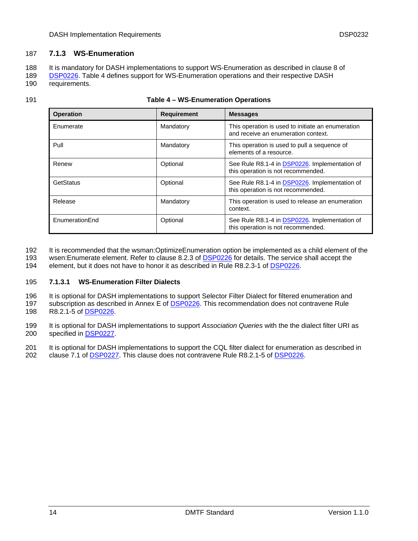#### 187 **7.1.3 WS-Enumeration**

188 It is mandatory for DASH implementations to support WS-Enumeration as described in clause 8 of

[DSP0226.](#page-6-3) [Table 4](#page-13-0) defines support for WS-Enumeration operations and their respective DASH requirements. 189 190

#### <span id="page-13-0"></span>191 **Table 4 – WS-Enumeration Operations**

| <b>Operation</b> | <b>Requirement</b> | <b>Messages</b>                                                                          |
|------------------|--------------------|------------------------------------------------------------------------------------------|
| Enumerate        | Mandatory          | This operation is used to initiate an enumeration<br>and receive an enumeration context. |
| Pull             | Mandatory          | This operation is used to pull a sequence of<br>elements of a resource.                  |
| Renew            | Optional           | See Rule R8.1-4 in DSP0226. Implementation of<br>this operation is not recommended.      |
| GetStatus        | Optional           | See Rule R8.1-4 in DSP0226. Implementation of<br>this operation is not recommended.      |
| Release          | Mandatory          | This operation is used to release an enumeration<br>context.                             |
| EnumerationEnd   | Optional           | See Rule R8.1-4 in DSP0226. Implementation of<br>this operation is not recommended.      |

- It is recommended that the wsman:OptimizeEnumeration option be implemented as a child element of the 192
- wsen:Enumerate element. Refer to clause 8.2.3 of **DSP0226** for details. The service shall accept the 193
- 194 element, but it does not have to honor it as described in Rule R8.2.3-1 of [DSP0226.](#page-6-3)

#### 195 **7.1.3.1 WS-Enumeration Filter Dialects**

- 196 It is optional for DASH implementations to support Selector Filter Dialect for filtered enumeration and
- subscription as described in Annex E of **DSP0226**. This recommendation does not contravene Rule 198 R8.2.1-5 of <u>[DSP0226](#page-6-3)</u>. 197
- 199 It is optional for DASH implementations to support *Association Queries* with the the dialect filter URI as 200 specified in [DSP0227.](#page-6-4)
- 201 It is optional for DASH implementations to support the CQL filter dialect for enumeration as described in 202 clause 7.1 of [DSP0227](#page-6-4). This clause does not contravene Rule R8.2.1-5 of [DSP0226](#page-6-3).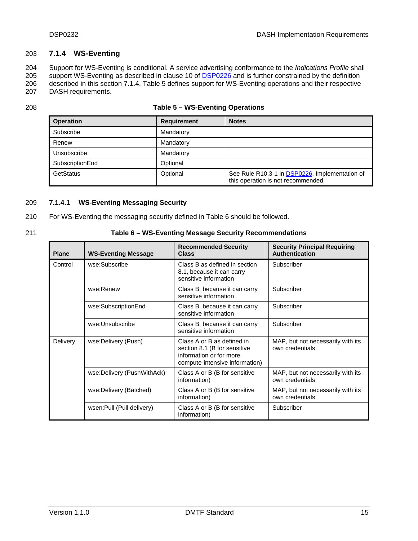#### <span id="page-14-2"></span>203 **7.1.4 WS-Eventing**

Support for WS-Eventing is conditional. A service advertising conformance to the *Indications Profile* shall support WS-Eventing as described in clause 10 of **DSP0226** and is further constrained by the definition 204 described in this section [7.1.4.](#page-14-2) [Table 5](#page-14-0) defines support for WS-Eventing operations and their respective 205 206

207 DASH requirements.

<span id="page-14-0"></span>208

| <b>Operation</b> | <b>Requirement</b> | <b>Notes</b>                                                                         |
|------------------|--------------------|--------------------------------------------------------------------------------------|
| Subscribe        | Mandatory          |                                                                                      |
| Renew            | Mandatory          |                                                                                      |
| Unsubscribe      | Mandatory          |                                                                                      |
| SubscriptionEnd  | Optional           |                                                                                      |
| GetStatus        | Optional           | See Rule R10.3-1 in DSP0226. Implementation of<br>this operation is not recommended. |

#### <span id="page-14-3"></span>209 **7.1.4.1 WS-Eventing Messaging Security**

- 210 For WS-Eventing the messaging security defined in [Table 6](#page-14-1) should be followed.
- <span id="page-14-1"></span>

#### 211 **Table 6 – WS-Eventing Message Security Recommendations**

| <b>Plane</b> | <b>WS-Eventing Message</b> | <b>Recommended Security</b><br><b>Class</b>                                                                             | <b>Security Principal Requiring</b><br><b>Authentication</b> |
|--------------|----------------------------|-------------------------------------------------------------------------------------------------------------------------|--------------------------------------------------------------|
| Control      | wse:Subscribe              | Class B as defined in section<br>8.1, because it can carry<br>sensitive information                                     | Subscriber                                                   |
|              | wse:Renew                  | Class B, because it can carry<br>sensitive information                                                                  | Subscriber                                                   |
|              | wse:SubscriptionEnd        | Class B, because it can carry<br>sensitive information                                                                  | Subscriber                                                   |
|              | wse:Unsubscribe            | Class B, because it can carry<br>sensitive information                                                                  | Subscriber                                                   |
| Delivery     | wse:Delivery (Push)        | Class A or B as defined in<br>section 8.1 (B for sensitive<br>information or for more<br>compute-intensive information) | MAP, but not necessarily with its<br>own credentials         |
|              | wse:Delivery (PushWithAck) | Class A or B (B for sensitive<br>information)                                                                           | MAP, but not necessarily with its<br>own credentials         |
|              | wse:Delivery (Batched)     | Class A or B (B for sensitive<br>information)                                                                           | MAP, but not necessarily with its<br>own credentials         |
|              | wsen: Pull (Pull delivery) | Class A or B (B for sensitive<br>information)                                                                           | Subscriber                                                   |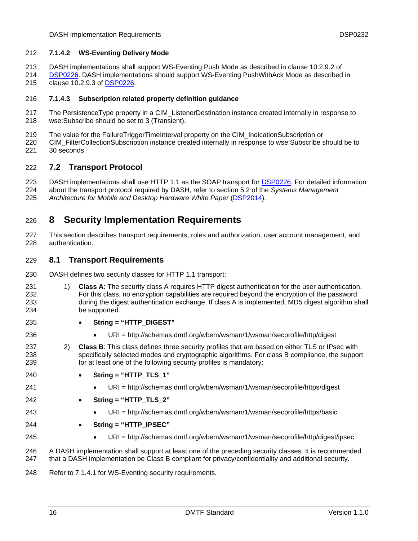#### 212 **7.1.4.2 WS-Eventing Delivery Mode**

- 213 DASH implementations shall support WS-Eventing Push Mode as described in clause 10.2.9.2 of
- [DSP0226.](#page-6-3) DASH implementations should support WS-Eventing PushWithAck Mode as described in 215 clause 10.2.9.3 of **[DSP0226](#page-6-3)**. 214

#### 216 **7.1.4.3 Subscription related property definition guidance**

- 217 218 The PersistenceType property in a CIM\_ListenerDestination instance created internally in response to wse:Subscribe should be set to 3 (Transient).
- 219 The value for the FailureTriggerTimeInterval property on the CIM\_IndicationSubscription or
- 220 221 CIM\_FilterCollectionSubscription instance created internally in response to wse:Subscribe should be to 30 seconds.

#### <span id="page-15-0"></span>222 **7.2 Transport Protocol**

DASH implementations shall use HTTP 1.1 as the SOAP transport for [DSP0226](#page-6-3). For detailed information about the transport protocol required by DASH, refer to section 5.2 of the *Systems Management*  223 224

225 Architecture for Mobile and Desktop Hardware White Paper ([DSP2014\)](#page-22-2).

#### <span id="page-15-1"></span>226 **8 Security Implementation Requirements**

227 228 This section describes transport requirements, roles and authorization, user account management, and authentication.

#### <span id="page-15-2"></span>229 **8.1 Transport Requirements**

- 230 DASH defines two security classes for HTTP 1.1 transport:
- 231 232 233 234 1) **Class A**: The security class A requires HTTP digest authentication for the user authentication. For this class, no encryption capabilities are required beyond the encryption of the password during the digest authentication exchange. If class A is implemented, MD5 digest algorithm shall be supported.
	-
- **String = "HTTP\_DIGEST"**
- URI = http://schemas.dmtf.org/wbem/wsman/1/wsman/secprofile/http/digest
- 237 238 239 2) **Class B**: This class defines three security profiles that are based on either TLS or IPsec with specifically selected modes and cryptographic algorithms. For class B compliance, the support for at least one of the following security profiles is mandatory:
- 240 **String = "HTTP\_TLS\_1"**
- 241

244

235 236

- 
- URI = http://schemas.dmtf.org/wbem/wsman/1/wsman/secprofile/https/digest
- 242 **String = "HTTP\_TLS\_2"**
- 243
- **String = "HTTP\_IPSEC"**
- 245
- URI = http://schemas.dmtf.org/wbem/wsman/1/wsman/secprofile/http/digest/ipsec

URI = http://schemas.dmtf.org/wbem/wsman/1/wsman/secprofile/https/basic

246 247 A DASH implementation shall support at least one of the preceding security classes. It is recommended that a DASH implementation be Class B compliant for privacy/confidentiality and additional security.

248 Refer to [7.1.4.1](#page-14-3) for WS-Eventing security requirements.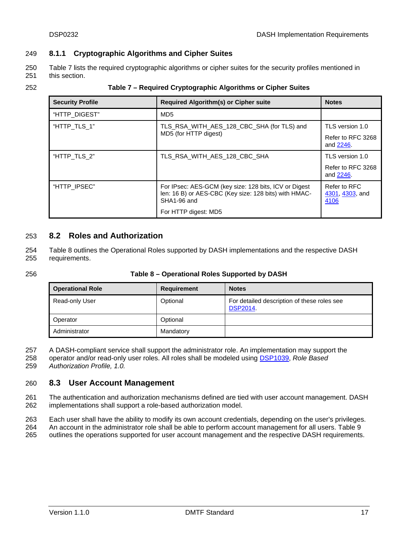#### 249 **8.1.1 Cryptographic Algorithms and Cipher Suites**

[Table 7](#page-16-2) lists the required cryptographic algorithms or cipher suites for the security profiles mentioned in this section. 250 251

<span id="page-16-2"></span>

| 252 | Table 7 – Required Cryptographic Algorithms or Cipher Suites |
|-----|--------------------------------------------------------------|
|-----|--------------------------------------------------------------|

| <b>Security Profile</b> | <b>Required Algorithm(s) or Cipher suite</b>                                                                                  | <b>Notes</b>                            |
|-------------------------|-------------------------------------------------------------------------------------------------------------------------------|-----------------------------------------|
| "HTTP DIGEST"           | MD <sub>5</sub>                                                                                                               |                                         |
| "HTTP TLS 1"            | TLS_RSA_WITH_AES_128_CBC_SHA (for TLS) and                                                                                    | TLS version 1.0                         |
|                         | MD5 (for HTTP digest)                                                                                                         | Refer to RFC 3268<br>and 2246.          |
| "HTTP TLS 2"            | TLS RSA WITH AES 128 CBC SHA                                                                                                  | TLS version 1.0                         |
|                         |                                                                                                                               | Refer to RFC 3268<br>and 2246.          |
| "HTTP IPSEC"            | For IPsec: AES-GCM (key size: 128 bits, ICV or Digest<br>len: 16 B) or AES-CBC (Key size: 128 bits) with HMAC-<br>SHA1-96 and | Refer to RFC<br>4301, 4303, and<br>4106 |
|                         | For HTTP digest: MD5                                                                                                          |                                         |

#### <span id="page-16-0"></span>253 **8.2 Roles and Authorization**

[Table 8](#page-16-3) outlines the Operational Roles supported by DASH implementations and the respective DASH requirements. 254 255

#### <span id="page-16-3"></span>256 **Table 8 – Operational Roles Supported by DASH**

| <b>Operational Role</b> | Requirement | <b>Notes</b>                                                  |
|-------------------------|-------------|---------------------------------------------------------------|
| Read-only User          | Optional    | For detailed description of these roles see<br><b>DSP2014</b> |
| Optional<br>Operator    |             |                                                               |
| Administrator           | Mandatory   |                                                               |

A DASH-compliant service shall support the administrator role. An implementation may support the 257

operator and/or read-only user roles. All roles shall be modeled using [DSP1039](#page-7-2), *Role Based*  258

*Authorization Profile, 1.0.* 259

#### <span id="page-16-1"></span>260 **8.3 User Account Management**

261 262 The authentication and authorization mechanisms defined are tied with user account management. DASH implementations shall support a role-based authorization model.

263 Each user shall have the ability to modify its own account credentials, depending on the user's privileges.

264 An account in the administrator role shall be able to perform account management for all users. [Table 9](#page-17-2)

265 outlines the operations supported for user account management and the respective DASH requirements.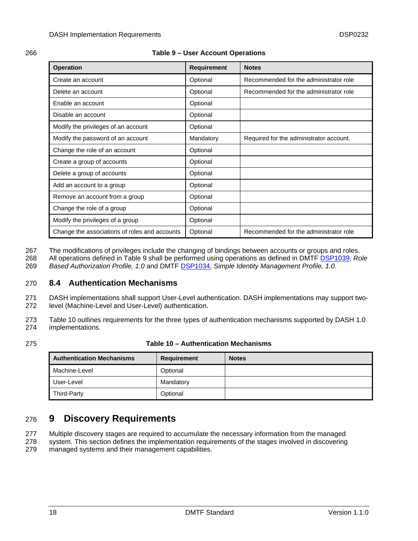#### <span id="page-17-2"></span>266 **Table 9 – User Account Operations**

| <b>Operation</b>                              | <b>Requirement</b> | <b>Notes</b>                            |
|-----------------------------------------------|--------------------|-----------------------------------------|
| Create an account                             | Optional           | Recommended for the administrator role  |
| Delete an account                             | Optional           | Recommended for the administrator role  |
| Enable an account                             | Optional           |                                         |
| Disable an account                            | Optional           |                                         |
| Modify the privileges of an account           | Optional           |                                         |
| Modify the password of an account             | Mandatory          | Required for the administrator account. |
| Change the role of an account                 | Optional           |                                         |
| Create a group of accounts                    | Optional           |                                         |
| Delete a group of accounts                    | Optional           |                                         |
| Add an account to a group                     | Optional           |                                         |
| Remove an account from a group                | Optional           |                                         |
| Change the role of a group                    | Optional           |                                         |
| Modify the privileges of a group              | Optional           |                                         |
| Change the associations of roles and accounts | Optional           | Recommended for the administrator role  |

The modifications of privileges include the changing of bindings between accounts or groups and roles. 267

All operations defined in [Table 9](#page-17-2) shall be performed using operations as defined in DMTF [DSP1039](#page-7-2), *Role*  268

269 Based Authorization Profile, 1.0 and DMTF **DSP1034**, Simple Identity Management Profile, 1.0.

#### <span id="page-17-0"></span>270 **8.4 Authentication Mechanisms**

- 271 272 DASH implementations shall support User-Level authentication. DASH implementations may support twolevel (Machine-Level and User-Level) authentication.
- 273 274 [Table 10](#page-17-3) outlines requirements for the three types of authentication mechanisms supported by DASH 1.0 implementations.
- <span id="page-17-3"></span>275

#### **Table 10 – Authentication Mechanisms**

| <b>Authentication Mechanisms</b> | Requirement | <b>Notes</b> |
|----------------------------------|-------------|--------------|
| Machine-Level                    | Optional    |              |
| User-Level                       | Mandatory   |              |
| Third-Party                      | Optional    |              |

### <span id="page-17-1"></span>276 **9 Discovery Requirements**

- Multiple discovery stages are required to accumulate the necessary information from the managed 277
- system. This section defines the implementation requirements of the stages involved in discovering 278
- managed systems and their management capabilities. 279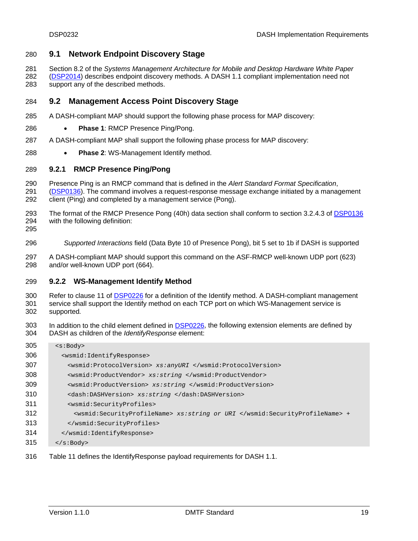#### <span id="page-18-0"></span>**9.1 Network Endpoint Discovery Stage**

Section 8.2 of the *Systems Management Architecture for Mobile and Desktop Hardware White Paper*  

( [DSP2014](#page-22-2)) describes endpoint discovery methods. A DASH 1.1 compliant implementation need not support any of the described methods. 

#### <span id="page-18-1"></span>**9.2 Management Access Point Discovery Stage**

- A DASH-compliant MAP should support the following phase process for MAP discovery:
- **Phase 1**: RMCP Presence Ping/Pong.
- A DASH-compliant MAP shall support the following phase process for MAP discovery:
- **Phase 2**: WS-Management Identify method.

#### **9.2.1 RMCP Presence Ping/Pong**

- Presence Ping is an RMCP command that is defined in the *Alert Standard Format Specification*,
- [\(DSP0136](#page-6-14)). The command involves a request-response message exchange initiated by a management client (Ping) and completed by a management service (Pong).
- The format of the RMCP Presence Pong (40h) data section shall conform to section 3.2.4.3 of [DSP0136](#page-6-14) with the following definition:
- 
- *Supported Interactions* field (Data Byte 10 of Presence Pong), bit 5 set to 1b if DASH is supported
- A DASH-compliant MAP should support this command on the ASF-RMCP well-known UDP port (623) and/or well-known UDP port (664).

#### **9.2.2 WS-Management Identify Method**

Refer to clause 11 of [DSP0226](#page-6-3) for a definition of the Identify method. A DASH-compliant management service shall support the Identify method on each TCP port on which WS-Management service is supported*.* 

In addition to the child element defined in **[DSP0226](#page-6-3)**, the following extension elements are defined by DASH as children of the *IdentifyResponse* element: 

| 305 | $<$ s:Body>                                                                 |
|-----|-----------------------------------------------------------------------------|
| 306 | <wsmid:identifyresponse></wsmid:identifyresponse>                           |
| 307 | <wsmid:protocolversion> xs:anyURI </wsmid:protocolversion>                  |
| 308 | <wsmid:productvendor> xs:string </wsmid:productvendor>                      |
| 309 | <wsmid:productversion> xs:string </wsmid:productversion>                    |
| 310 | <dash:dashversion> xs:string </dash:dashversion>                            |
| 311 | <wsmid:securityprofiles></wsmid:securityprofiles>                           |
| 312 | <wsmid:securityprofilename> xs:string or URI </wsmid:securityprofilename> + |
| 313 |                                                                             |
| 314 |                                                                             |
| 315 | $\langle$ s:Body>                                                           |
|     |                                                                             |

[Table 11](#page-19-0) defines the IdentifyResponse payload requirements for DASH 1.1.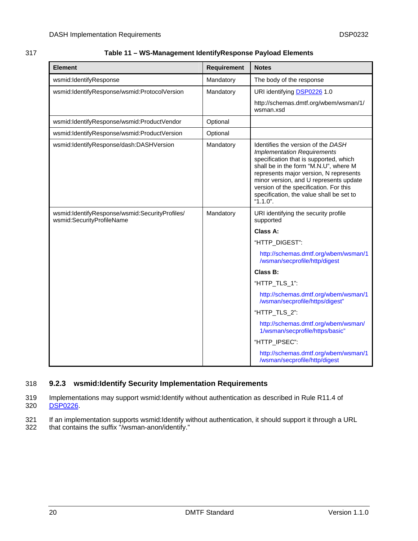#### <span id="page-19-0"></span>317 **Table 11 – WS-Management IdentifyResponse Payload Elements**

| <b>Element</b>                                                              | Requirement | <b>Notes</b>                                                                                                                                                                                                                                                                                                                                         |
|-----------------------------------------------------------------------------|-------------|------------------------------------------------------------------------------------------------------------------------------------------------------------------------------------------------------------------------------------------------------------------------------------------------------------------------------------------------------|
| wsmid:IdentifyResponse                                                      | Mandatory   | The body of the response                                                                                                                                                                                                                                                                                                                             |
| wsmid:IdentifyResponse/wsmid:ProtocolVersion                                | Mandatory   | URI identifying DSP0226 1.0                                                                                                                                                                                                                                                                                                                          |
|                                                                             |             | http://schemas.dmtf.org/wbem/wsman/1/<br>wsman.xsd                                                                                                                                                                                                                                                                                                   |
| wsmid:IdentifyResponse/wsmid:ProductVendor                                  | Optional    |                                                                                                                                                                                                                                                                                                                                                      |
| wsmid:IdentifyResponse/wsmid:ProductVersion                                 | Optional    |                                                                                                                                                                                                                                                                                                                                                      |
| wsmid:IdentifyResponse/dash:DASHVersion                                     | Mandatory   | Identifies the version of the DASH<br><b>Implementation Requirements</b><br>specification that is supported, which<br>shall be in the form "M.N.U", where M<br>represents major version, N represents<br>minor version, and U represents update<br>version of the specification. For this<br>specification, the value shall be set to<br>$"1.1.0"$ . |
| wsmid:IdentifyResponse/wsmid:SecurityProfiles/<br>wsmid:SecurityProfileName | Mandatory   | URI identifying the security profile<br>supported                                                                                                                                                                                                                                                                                                    |
|                                                                             |             | Class A:                                                                                                                                                                                                                                                                                                                                             |
|                                                                             |             | "HTTP_DIGEST":                                                                                                                                                                                                                                                                                                                                       |
|                                                                             |             | http://schemas.dmtf.org/wbem/wsman/1<br>/wsman/secprofile/http/digest                                                                                                                                                                                                                                                                                |
|                                                                             |             | Class B:                                                                                                                                                                                                                                                                                                                                             |
|                                                                             |             | "HTTP_TLS_1":                                                                                                                                                                                                                                                                                                                                        |
|                                                                             |             | http://schemas.dmtf.org/wbem/wsman/1<br>/wsman/secprofile/https/digest"                                                                                                                                                                                                                                                                              |
|                                                                             |             | "HTTP_TLS_2":                                                                                                                                                                                                                                                                                                                                        |
|                                                                             |             | http://schemas.dmtf.org/wbem/wsman/<br>1/wsman/secprofile/https/basic"                                                                                                                                                                                                                                                                               |
|                                                                             |             | "HTTP_IPSEC":                                                                                                                                                                                                                                                                                                                                        |
|                                                                             |             | http://schemas.dmtf.org/wbem/wsman/1<br>/wsman/secprofile/http/digest                                                                                                                                                                                                                                                                                |

#### 318 **9.2.3 wsmid:Identify Security Implementation Requirements**

319 Implementations may support wsmid:Identify without authentication as described in Rule R11.4 of 320 [DSP0226.](#page-6-3)

321 322 If an implementation supports wsmid:Identify without authentication, it should support it through a URL that contains the suffix "/wsman-anon/identify."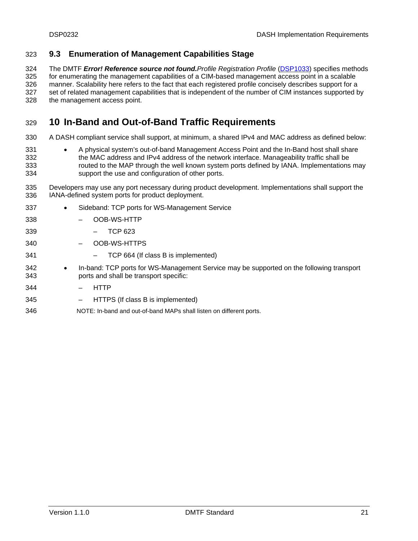#### <span id="page-20-0"></span>323 **9.3 Enumeration of Management Capabilities Stage**

The DMTF *Error! Reference source not found.Profile Registration Profile* [\(DSP1033](#page-7-1)) specifies methods for enumerating the management capabilities of a CIM-based management access point in a scalable manner. Scalability here refers to the fact that each registered profile concisely describes support for a set of related management capabilities that is independent of the number of CIM instances supported by the management access point. 324 325 326 327 328

#### <span id="page-20-1"></span>329 **10 In-Band and Out-of-Band Traffic Requirements**

- 330 A DASH compliant service shall support, at minimum, a shared IPv4 and MAC address as defined below:
- 331 332 333 334 A physical system's out-of-band Management Access Point and the In-Band host shall share the MAC address and IPv4 address of the network interface. Manageability traffic shall be routed to the MAP through the well known system ports defined by IANA. Implementations may support the use and configuration of other ports.
- 335 336 Developers may use any port necessary during product development. Implementations shall support the IANA-defined system ports for product deployment.
- 337 338 339 340 341 342 343 344 345 346 Sideband: TCP ports for WS-Management Service – OOB-WS-HTTP – TCP 623 – OOB-WS-HTTPS – TCP 664 (If class B is implemented) In-band: TCP ports for WS-Management Service may be supported on the following transport ports and shall be transport specific: – HTTP – HTTPS (If class B is implemented) NOTE: In-band and out-of-band MAPs shall listen on different ports.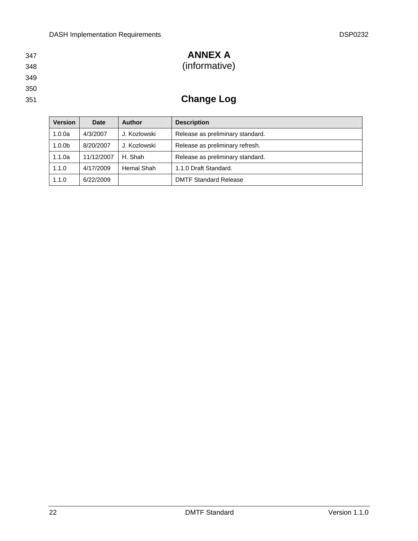- 347
- <span id="page-21-0"></span>348
- 349
- 
- 350
- 351

## **ANNEX A**

( informative)

## **Change Log**

| <b>Version</b>     | Date       | Author       | <b>Description</b>               |
|--------------------|------------|--------------|----------------------------------|
| 1.0.0a             | 4/3/2007   | J. Kozlowski | Release as preliminary standard. |
| 1.0.0 <sub>b</sub> | 8/20/2007  | J. Kozlowski | Release as preliminary refresh.  |
| 1.1.0a             | 11/12/2007 | H. Shah      | Release as preliminary standard. |
| 1.1.0              | 4/17/2009  | Hemal Shah   | 1.1.0 Draft Standard.            |
| 1.1.0              | 6/22/2009  |              | <b>DMTF Standard Release</b>     |